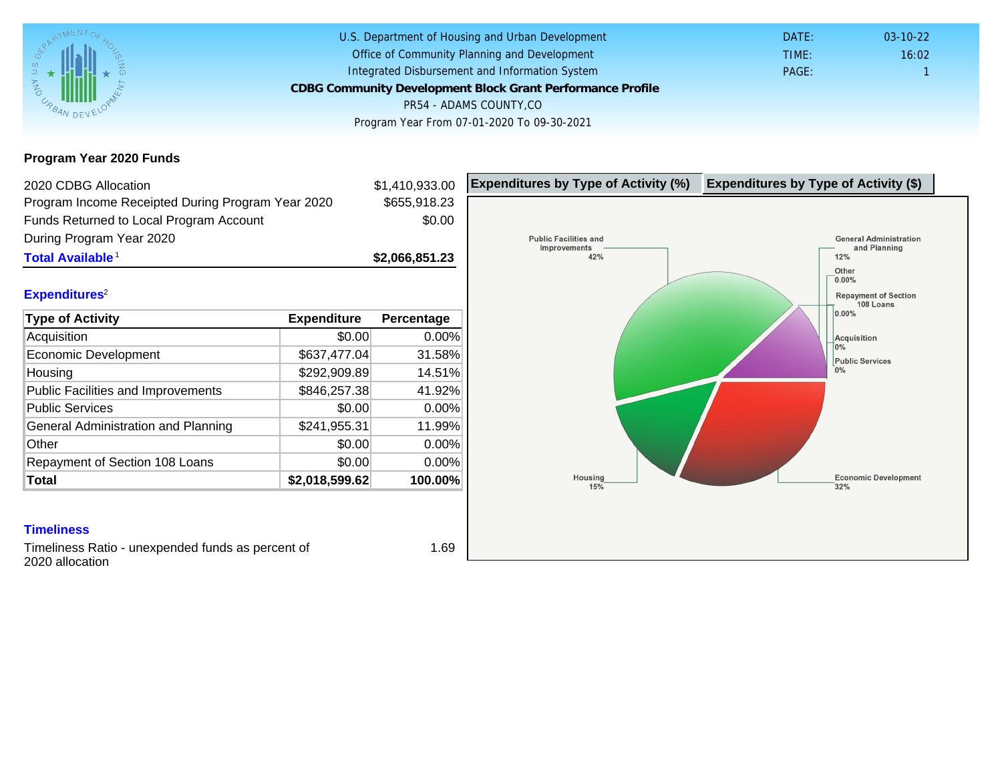Program Year 2020 Funds

| 2020 CDBG Allocation                              |                | \$1,410,933.00 | Expenditures by Type of Activity (%) | Expenditure |
|---------------------------------------------------|----------------|----------------|--------------------------------------|-------------|
| Program Income Receipted During Program Year 2020 |                | \$655,918.23   |                                      |             |
| Funds Returned to Local Program Account           |                | \$0.00         |                                      |             |
| During Program Year 2020                          |                |                |                                      |             |
| Total Available <sup>1</sup>                      |                | \$2,066,851.23 |                                      |             |
| Expenditures <sup>2</sup>                         |                |                |                                      |             |
| Type of Activity                                  | Expenditure    | Percentage     |                                      |             |
| Acquisition                                       | \$0.00         | 0.00%          |                                      |             |
| <b>Economic Development</b>                       | \$637,477.04   | 31.58%         |                                      |             |
| Housing                                           | \$292,909.89   | 14.51%         |                                      |             |
| <b>Public Facilities and Improvements</b>         | \$846,257.38   | 41.92%         |                                      |             |
| <b>Public Services</b>                            | \$0.00         | $0.00\%$       |                                      |             |
| General Administration and Planning               | \$241,955.31   | 11.99%         |                                      |             |
| Other                                             | \$0.00         | 0.00%          |                                      |             |
| Repayment of Section 108 Loans                    | \$0.00         | 0.00%          |                                      |             |
| Total                                             | \$2,018,599.62 | 100.00%        |                                      |             |

### **Timeliness**

Timeliness Ratio - unexpended funds as percent of 2020 allocation

1.69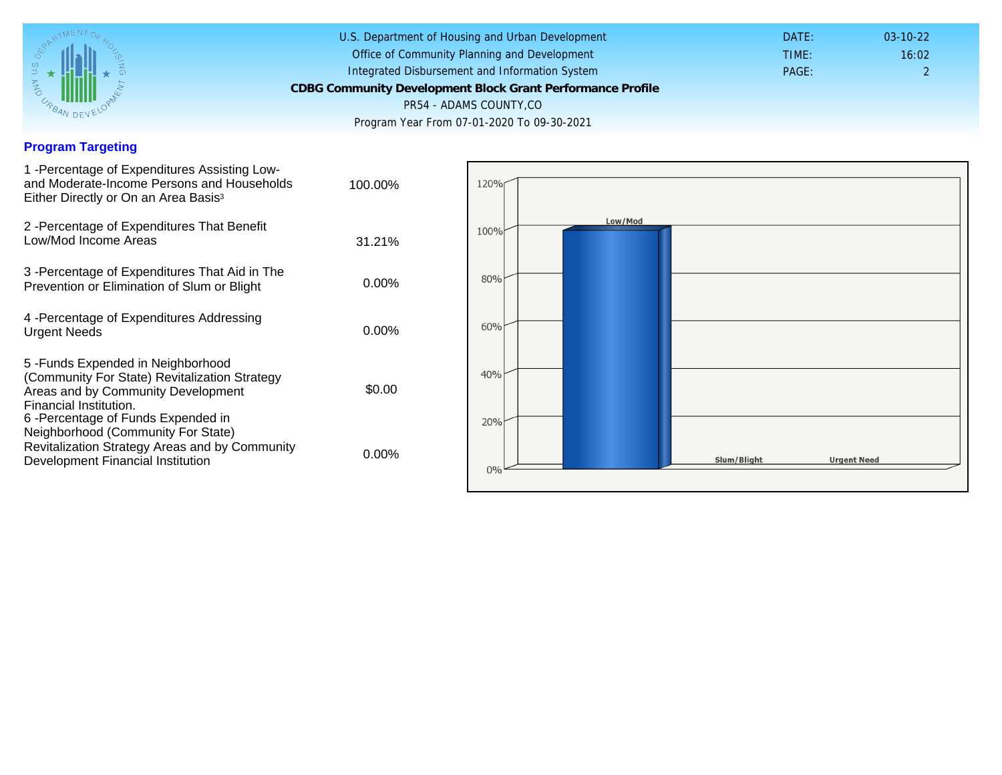## Program Targeting

| 1 - Percentage of Expenditures Assisting Low-<br>and Moderate-Income Persons and Households<br>Either Directly or On an Area Basis <sup>3</sup>                                                                              | 100.00%  |
|------------------------------------------------------------------------------------------------------------------------------------------------------------------------------------------------------------------------------|----------|
| 2 - Percentage of Expenditures That Benefit<br>Low/Mod Income Areas                                                                                                                                                          | 31.21%   |
| 3 - Percentage of Expenditures That Aid in The<br>Prevention or Elimination of Slum or Blight                                                                                                                                | $0.00\%$ |
| 4 - Percentage of Expenditures Addressing<br><b>Urgent Needs</b>                                                                                                                                                             | $0.00\%$ |
| 5-Funds Expended in Neighborhood<br>(Community For State) Revitalization Strategy<br>Areas and by Community Development<br>Financial Institution.<br>6-Percentage of Funds Expended in<br>Neighborhood (Community For State) | \$0.00   |
| Revitalization Strategy Areas and by Community<br>Development Financial Institution                                                                                                                                          | $0.00\%$ |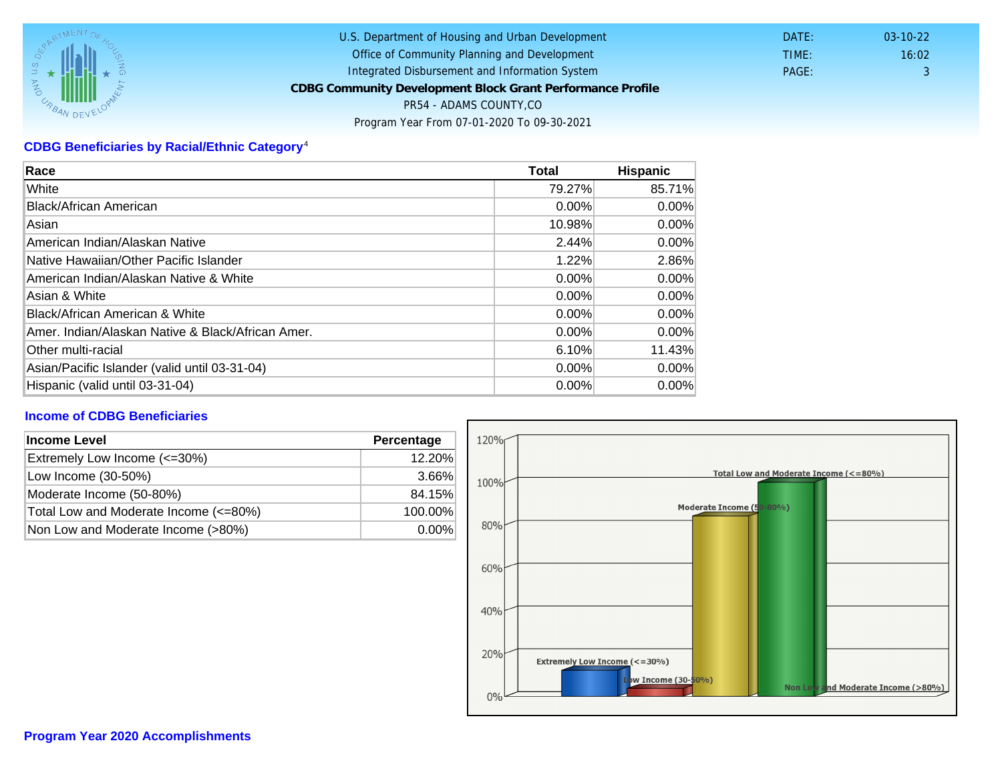# CDBG Beneficiaries by Racial/Ethnic Category <sup>4</sup>

| Race                                              | Total    | Hispanic |
|---------------------------------------------------|----------|----------|
| White                                             | 79.27%   | 85.71%   |
| Black/African American                            | $0.00\%$ | $0.00\%$ |
| Asian                                             | 10.98%   | $0.00\%$ |
| IAmerican Indian/Alaskan Native                   | 2.44%    | $0.00\%$ |
| lNative Hawaiian/Other Pacific Islander           | 1.22%    | 2.86%    |
| American Indian/Alaskan Native & White            | 0.00%    | $0.00\%$ |
| Asian & White                                     | 0.00%    | $0.00\%$ |
| Black/African American & White                    | $0.00\%$ | $0.00\%$ |
| Amer. Indian/Alaskan Native & Black/African Amer. | $0.00\%$ | $0.00\%$ |
| <b>Other multi-racial</b>                         | 6.10%    | 11.43%   |
| Asian/Pacific Islander (valid until 03-31-04)     | 0.00%    | 0.00%    |
| Hispanic (valid until 03-31-04)                   | $0.00\%$ | $0.00\%$ |

### Income of CDBG Beneficiaries

| Income Level                          | Percentage |  |
|---------------------------------------|------------|--|
| Extremely Low Income (<=30%)          | 12.20%     |  |
| Low Income (30-50%)                   | 3.66%      |  |
| Moderate Income (50-80%)              | 84.15%     |  |
| Total Low and Moderate Income (<=80%) | 100.00%    |  |
| Non Low and Moderate Income (>80%)    | $0.00\%$   |  |